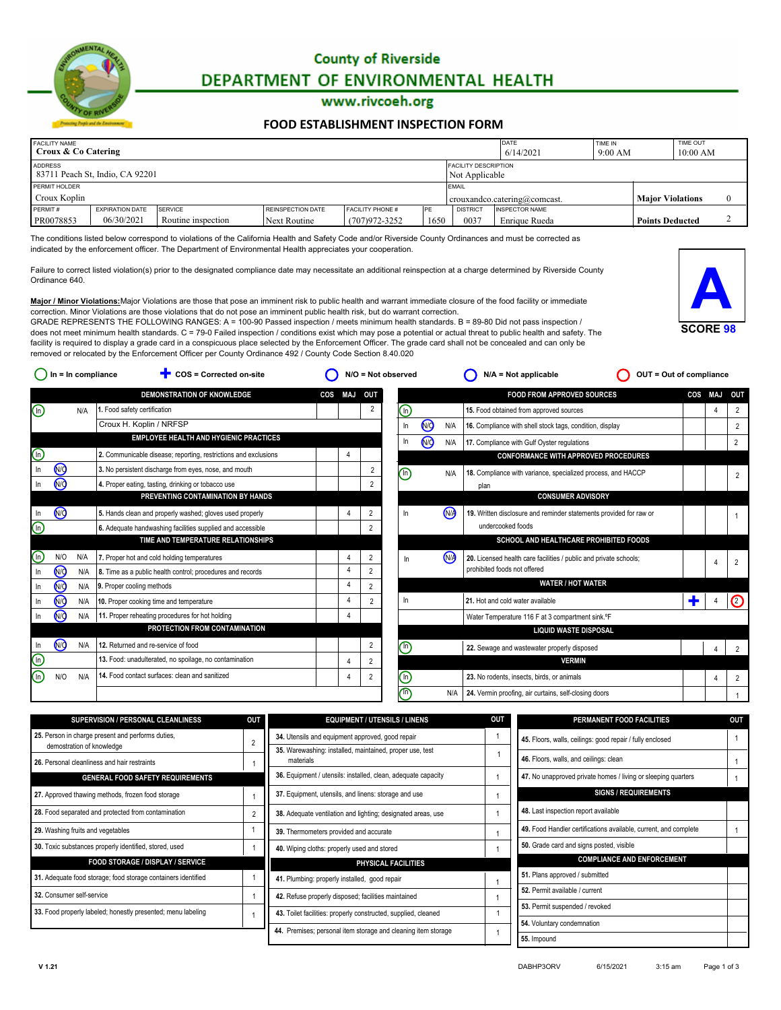

# **County of Riverside** DEPARTMENT OF ENVIRONMENTAL HEALTH

### www.rivcoeh.org

#### **[FOOD ESTABLISHMENT INSPECTION FORM](http://rivcoeh.org/)**

| <b>FACILITY NAME</b><br>Croux & Co Catering |                                 |                    |                          | DATE<br>6/14/2021                             | TIME IN<br>9:00 AM |                 | <b>TIME OUT</b><br>10:00 AM                             |  |                        |  |  |
|---------------------------------------------|---------------------------------|--------------------|--------------------------|-----------------------------------------------|--------------------|-----------------|---------------------------------------------------------|--|------------------------|--|--|
| ADDRESS                                     | 83711 Peach St, Indio, CA 92201 |                    |                          | <b>FACILITY DESCRIPTION</b><br>Not Applicable |                    |                 |                                                         |  |                        |  |  |
| PERMIT HOLDER                               |                                 |                    |                          | <b>IEMAIL</b>                                 |                    |                 |                                                         |  |                        |  |  |
| Croux Koplin                                |                                 |                    |                          |                                               |                    |                 | crouxandco.catering@comcast.<br><b>Maior Violations</b> |  |                        |  |  |
| PERMIT#                                     | <b>EXPIRATION DATE</b>          | SERVICE            | <b>REINSPECTION DATE</b> | <b>FACILITY PHONE #</b>                       | <b>IPE</b>         | <b>DISTRICT</b> | <b>INSPECTOR NAME</b>                                   |  |                        |  |  |
| PR0078853                                   | 06/30/2021                      | Routine inspection | Next Routine             | (707)972-3252                                 | 1650               | 0037            | Enrique Rueda                                           |  | <b>Points Deducted</b> |  |  |

The conditions listed below correspond to violations of the California Health and Safety Code and/or Riverside County Ordinances and must be corrected as indicated by the enforcement officer. The Department of Environmental Health appreciates your cooperation.

Failure to correct listed violation(s) prior to the designated compliance date may necessitate an additional reinspection at a charge determined by Riverside County Ordinance 640.



**Major / Minor Violations:**Major Violations are those that pose an imminent risk to public health and warrant immediate closure of the food facility or immediate correction. Minor Violations are those violations that do not pose an imminent public health risk, but do warrant correction. GRADE REPRESENTS THE FOLLOWING RANGES:  $A = 100-90$  Passed inspection / meets minimum health standards. B = 89-80 Did not pass inspection /

does not meet minimum health standards. C = 79-0 Failed inspection / conditions exist which may pose a potential or actual threat to public health and safety. The facility is required to display a grade card in a conspicuous place selected by the Enforcement Officer. The grade card shall not be concealed and can only be removed or relocated by the Enforcement Officer per County Ordinance 492 / County Code Section 8.40.020

|            |                |     | <b>DEMONSTRATION OF KNOWLEDGE</b>                               | COS | <b>MAJ</b>     | OUT            |                |           |      | <b>FOOD FROM APPROVED SOURCES</b>                                  | COS | MAJ | OUT            |
|------------|----------------|-----|-----------------------------------------------------------------|-----|----------------|----------------|----------------|-----------|------|--------------------------------------------------------------------|-----|-----|----------------|
| $\bigcirc$ |                | N/A | 1. Food safety certification                                    |     |                | $\overline{2}$ | $\binom{n}{k}$ |           |      | 15. Food obtained from approved sources                            |     | 4   | $\overline{2}$ |
|            |                |     | Croux H. Koplin / NRFSP                                         |     |                |                | In             | <b>NO</b> | N/A  | 16. Compliance with shell stock tags, condition, display           |     |     | $\overline{2}$ |
|            |                |     | <b>EMPLOYEE HEALTH AND HYGIENIC PRACTICES</b>                   |     |                |                | In             | <b>MO</b> |      | N/A   17. Compliance with Gulf Oyster regulations                  |     |     | $\overline{2}$ |
| ⓒ          |                |     | 2. Communicable disease; reporting, restrictions and exclusions |     |                |                |                |           |      | <b>CONFORMANCE WITH APPROVED PROCEDURES</b>                        |     |     |                |
|            | N <sub>O</sub> |     | 3. No persistent discharge from eyes, nose, and mouth           |     |                | $\overline{2}$ | $\binom{n}{k}$ |           | N/A  | 18. Compliance with variance, specialized process, and HACCP       |     |     |                |
|            | <b>NO</b>      |     | 4. Proper eating, tasting, drinking or tobacco use              |     |                |                |                |           |      | plan                                                               |     |     |                |
|            |                |     | PREVENTING CONTAMINATION BY HANDS                               |     |                |                |                |           |      | <b>CONSUMER ADVISORY</b>                                           |     |     |                |
|            | <b>MO</b>      |     | 5. Hands clean and properly washed; gloves used properly        |     | 4              | $\overline{2}$ | In             |           | (NA  | 19. Written disclosure and reminder statements provided for raw or |     |     |                |
| ⓒ          |                |     | 6. Adequate handwashing facilities supplied and accessible      |     |                | $\overline{2}$ |                |           |      | undercooked foods                                                  |     |     |                |
|            |                |     | TIME AND TEMPERATURE RELATIONSHIPS                              |     |                |                |                |           |      | SCHOOL AND HEALTHCARE PROHIBITED FOODS                             |     |     |                |
| ⊕          | N/O            | N/A | 7. Proper hot and cold holding temperatures                     |     | 4              | $\overline{2}$ |                |           | (N/A | 20. Licensed health care facilities / public and private schools;  |     |     |                |
| In         | <b>NO</b>      | N/A | 8. Time as a public health control; procedures and records      |     | $\overline{4}$ | $\overline{2}$ |                |           |      | prohibited foods not offered                                       |     |     |                |
|            | <b>MO</b>      | N/A | 9. Proper cooling methods                                       |     | 4              | $\overline{2}$ |                |           |      | <b>WATER / HOT WATER</b>                                           |     |     |                |
|            | <b>MO</b>      | N/A | 10. Proper cooking time and temperature                         |     | 4              | $\Omega$       | In             |           |      | 21. Hot and cold water available                                   |     |     | C              |
|            | <b>MO</b>      | N/A | 11. Proper reheating procedures for hot holding                 |     | Δ              |                |                |           |      | Water Temperature 116 F at 3 compartment sink. °F                  |     |     |                |
|            |                |     | PROTECTION FROM CONTAMINATION                                   |     |                |                |                |           |      | <b>LIQUID WASTE DISPOSAL</b>                                       |     |     |                |
| - In       | <b>NO</b>      | N/A | 12. Returned and re-service of food                             |     |                | 2              | ခ              |           |      | 22. Sewage and wastewater properly disposed                        |     | Δ   |                |
| ⊕          |                |     | 13. Food: unadulterated, no spoilage, no contamination          |     | 4              | $\overline{2}$ |                |           |      | <b>VERMIN</b>                                                      |     |     |                |
| ⊕          | N/O            | N/A | 14. Food contact surfaces: clean and sanitized                  |     | 4              | $\overline{2}$ | (n)            |           |      | 23. No rodents, insects, birds, or animals                         |     |     | $\overline{2}$ |
|            |                |     |                                                                 |     |                |                | $\sqrt{n}$     |           | N/A  | 24. Vermin proofing, air curtains, self-closing doors              |     |     |                |
|            |                |     |                                                                 |     |                |                |                |           |      |                                                                    |     |     |                |

**Our = In compliance Exerced on-site O** N/O = Not observed **O** N/A = Not applicable **O** OUT = Out of compliance

| <b>SUPERVISION / PERSONAL CLEANLINESS</b>                                           | <b>OUT</b> | <b>EQUIPMENT / UTENSILS / LINENS</b>                                  | <b>OUT</b> | PERMANENT FOOD FACILITIES                                        | OUT |  |
|-------------------------------------------------------------------------------------|------------|-----------------------------------------------------------------------|------------|------------------------------------------------------------------|-----|--|
| 25. Person in charge present and performs duties,<br>2<br>demostration of knowledge |            | 34. Utensils and equipment approved, good repair                      |            | 45. Floors, walls, ceilings: good repair / fully enclosed        |     |  |
| 26. Personal cleanliness and hair restraints                                        |            | 35. Warewashing: installed, maintained, proper use, test<br>materials |            | 46. Floors, walls, and ceilings: clean                           |     |  |
| <b>GENERAL FOOD SAFETY REQUIREMENTS</b>                                             |            | 36. Equipment / utensils: installed, clean, adequate capacity         |            | 47. No unapproved private homes / living or sleeping quarters    |     |  |
| 27. Approved thawing methods, frozen food storage                                   |            | 37. Equipment, utensils, and linens: storage and use                  |            | <b>SIGNS / REQUIREMENTS</b>                                      |     |  |
| 28. Food separated and protected from contamination                                 |            | 38. Adequate ventilation and lighting; designated areas, use          |            | 48. Last inspection report available                             |     |  |
| 29. Washing fruits and vegetables                                                   |            | 39. Thermometers provided and accurate                                |            | 49. Food Handler certifications available, current, and complete |     |  |
| 30. Toxic substances properly identified, stored, used                              |            | 40. Wiping cloths: properly used and stored                           |            | 50. Grade card and signs posted, visible                         |     |  |
| <b>FOOD STORAGE / DISPLAY / SERVICE</b>                                             |            | PHYSICAL FACILITIES                                                   |            | <b>COMPLIANCE AND ENFORCEMENT</b>                                |     |  |
| 31. Adequate food storage; food storage containers identified                       |            | 41. Plumbing: properly installed, good repair                         |            | 51. Plans approved / submitted                                   |     |  |
| 32. Consumer self-service                                                           |            | 42. Refuse properly disposed; facilities maintained                   |            | 52. Permit available / current                                   |     |  |
| 33. Food properly labeled; honestly presented; menu labeling                        |            | 43. Toilet facilities: properly constructed, supplied, cleaned        |            | 53. Permit suspended / revoked                                   |     |  |
|                                                                                     |            |                                                                       |            | 54. Voluntary condemnation                                       |     |  |
|                                                                                     |            | 44. Premises; personal item storage and cleaning item storage         |            | 55. Impound                                                      |     |  |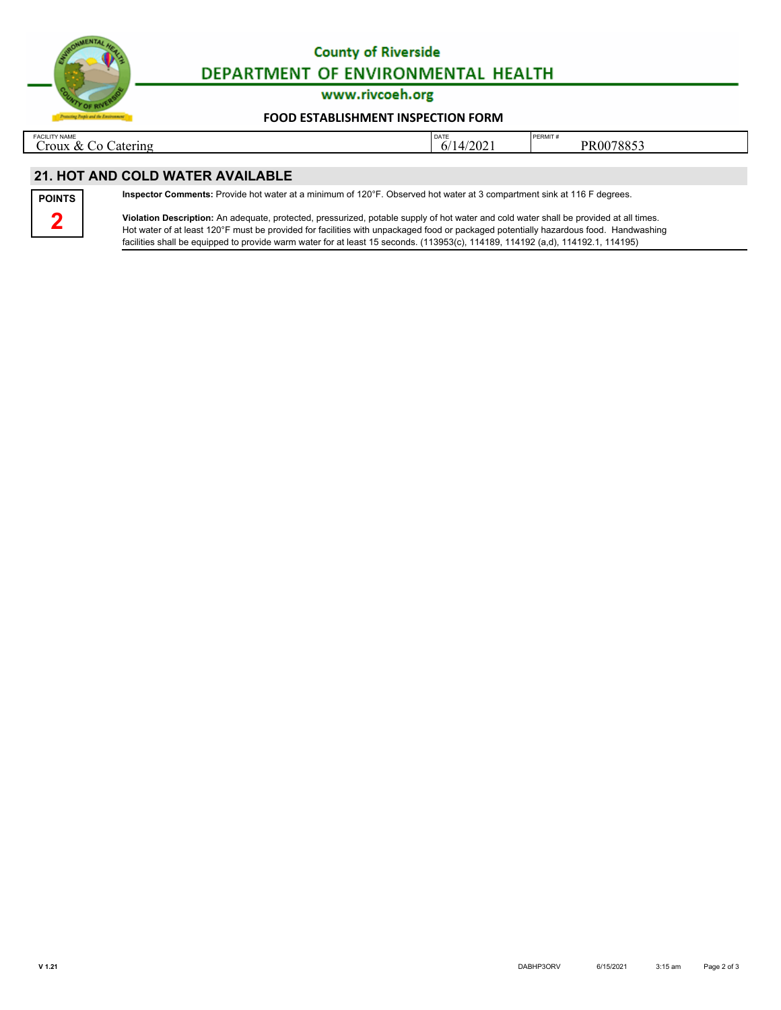

# **County of Riverside** DEPARTMENT OF ENVIRONMENTAL HEALTH

www.rivcoeh.org

#### **[FOOD ESTABLISHMENT INSPECTION FORM](http://rivcoeh.org/)**

FACILITY NAME CO Catering  $\begin{array}{|c|c|c|c|c|}\n\hline\n\text{PFRMIT & & & \text{PFRMIT} \\
\hline\n\text{Croux & Co Catering} & 6/14/2021 & & \text{PFR0078853} \\
\hline\n\end{array}$ 

## **21. HOT AND COLD WATER AVAILABLE**



**Inspector Comments:** Provide hot water at a minimum of 120°F. Observed hot water at 3 compartment sink at 116 F degrees.

**Violation Description:** An adequate, protected, pressurized, potable supply of hot water and cold water shall be provided at all times. Hot water of at least 120°F must be provided for facilities with unpackaged food or packaged potentially hazardous food. Handwashing facilities shall be equipped to provide warm water for at least 15 seconds. (113953(c), 114189, 114192 (a,d), 114192.1, 114195)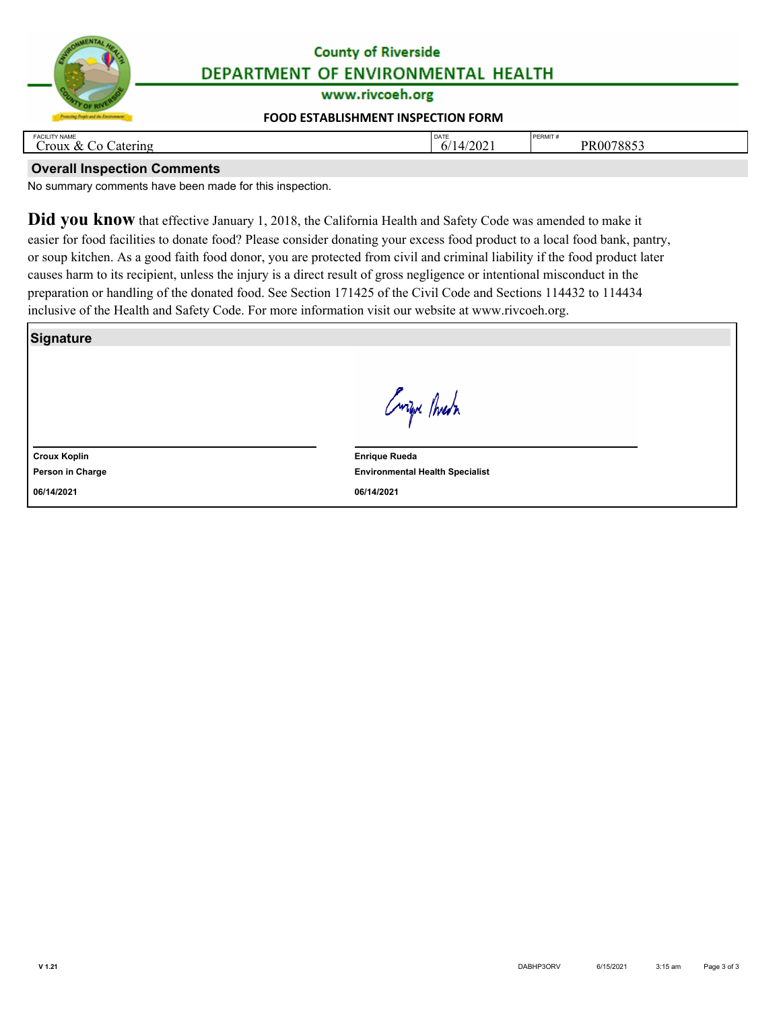

## **County of Riverside** DEPARTMENT OF ENVIRONMENTAL HEALTH

www.rivcoeh.org

### **[FOOD ESTABLISHMENT INSPECTION FORM](http://rivcoeh.org/)**

| <b>FACILITY NAME</b><br>atering<br>. roux<br>α | DATE<br>/202<br>$\Delta$<br> | <b>DEDMIT</b><br>PERMII<br>$\sim$ $\sim$ $\sim$<br>ROO<br>. .<br>(0.01) |
|------------------------------------------------|------------------------------|-------------------------------------------------------------------------|
|                                                |                              |                                                                         |

### **Overall Inspection Comments**

No summary comments have been made for this inspection.

**Did you know** that effective January 1, 2018, the California Health and Safety Code was amended to make it easier for food facilities to donate food? Please consider donating your excess food product to a local food bank, pantry, or soup kitchen. As a good faith food donor, you are protected from civil and criminal liability if the food product later causes harm to its recipient, unless the injury is a direct result of gross negligence or intentional misconduct in the preparation or handling of the donated food. See Section 171425 of the Civil Code and Sections 114432 to 114434 inclusive of the Health and Safety Code. For more information visit our website at www.rivcoeh.org.

**Signature**

Curifu Phresh

**Croux Koplin**

**Person in Charge**

**06/14/2021**

**Environmental Health Specialist Enrique Rueda 06/14/2021**